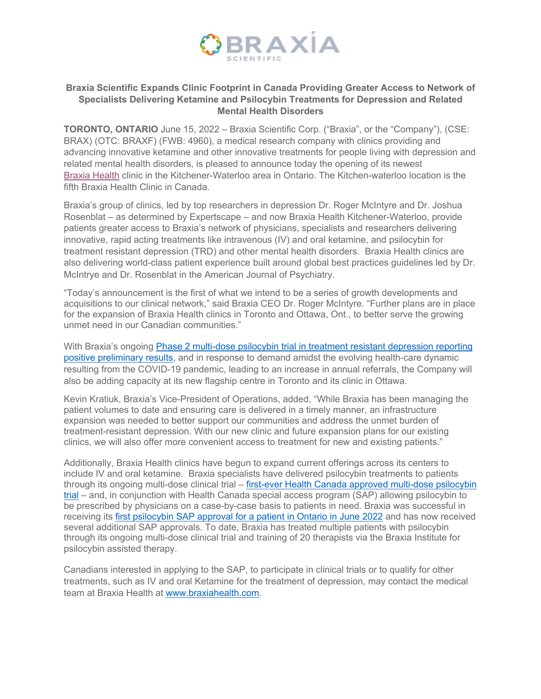

## **Braxia Scientific Expands Clinic Footprint in Canada Providing Greater Access to Network of Specialists Delivering Ketamine and Psilocybin Treatments for Depression and Related Mental Health Disorders**

**TORONTO, ONTARIO** June 15, 2022 – Braxia Scientific Corp. ("Braxia", or the "Company"), (CSE: BRAX) (OTC: BRAXF) (FWB: 4960), a medical research company with clinics providing and advancing innovative ketamine and other innovative treatments for people living with depression and related mental health disorders, is pleased to announce today the opening of its newest Braxia Health clinic in the Kitchener-Waterloo area in Ontario. The Kitchen-waterloo location is the fifth Braxia Health Clinic in Canada.

Braxia's group of clinics, led by top researchers in depression Dr. Roger McIntyre and Dr. Joshua Rosenblat – as determined by Expertscape – and now Braxia Health Kitchener-Waterloo, provide patients greater access to Braxia's network of physicians, specialists and researchers delivering innovative, rapid acting treatments like intravenous (IV) and oral ketamine, and psilocybin for treatment resistant depression (TRD) and other mental health disorders. Braxia Health clinics are also delivering world-class patient experience built around global best practices guidelines led by Dr. McIntrye and Dr. Rosenblat in the American Journal of Psychiatry.

"Today's announcement is the first of what we intend to be a series of growth developments and acquisitions to our clinical network," said Braxia CEO Dr. Roger McIntyre. "Further plans are in place for the expansion of Braxia Health clinics in Toronto and Ottawa, Ont., to better serve the growing unmet need in our Canadian communities."

With Braxia's ongoing Phase 2 multi-dose psilocybin trial in treatment resistant depression reporting positive preliminary results, and in response to demand amidst the evolving health-care dynamic resulting from the COVID-19 pandemic, leading to an increase in annual referrals, the Company will also be adding capacity at its new flagship centre in Toronto and its clinic in Ottawa.

Kevin Kratiuk, Braxia's Vice-President of Operations, added, "While Braxia has been managing the patient volumes to date and ensuring care is delivered in a timely manner, an infrastructure expansion was needed to better support our communities and address the unmet burden of treatment-resistant depression. With our new clinic and future expansion plans for our existing clinics, we will also offer more convenient access to treatment for new and existing patients."

Additionally, Braxia Health clinics have begun to expand current offerings across its centers to include IV and oral ketamine. Braxia specialists have delivered psilocybin treatments to patients through its ongoing multi-dose clinical trial – first-ever Health Canada approved multi-dose psilocybin trial – and, in conjunction with Health Canada special access program (SAP) allowing psilocybin to be prescribed by physicians on a case-by-case basis to patients in need. Braxia was successful in receiving its first psilocybin SAP approval for a patient in Ontario in June 2022 and has now received several additional SAP approvals. To date, Braxia has treated multiple patients with psilocybin through its ongoing multi-dose clinical trial and training of 20 therapists via the Braxia Institute for psilocybin assisted therapy.

Canadians interested in applying to the SAP, to participate in clinical trials or to qualify for other treatments, such as IV and oral Ketamine for the treatment of depression, may contact the medical team at Braxia Health at www.braxiahealth.com.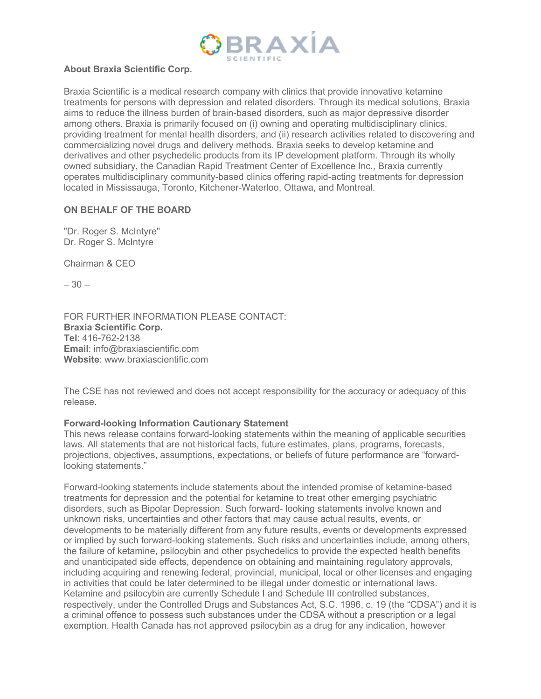

## **About Braxia Scientific Corp.**

Braxia Scientific is a medical research company with clinics that provide innovative ketamine treatments for persons with depression and related disorders. Through its medical solutions, Braxia aims to reduce the illness burden of brain-based disorders, such as major depressive disorder among others. Braxia is primarily focused on (i) owning and operating multidisciplinary clinics, providing treatment for mental health disorders, and (ii) research activities related to discovering and commercializing novel drugs and delivery methods. Braxia seeks to develop ketamine and derivatives and other psychedelic products from its IP development platform. Through its wholly owned subsidiary, the Canadian Rapid Treatment Center of Excellence Inc., Braxia currently operates multidisciplinary community-based clinics offering rapid-acting treatments for depression located in Mississauga, Toronto, Kitchener-Waterloo, Ottawa, and Montreal.

## **ON BEHALF OF THE BOARD**

"Dr. Roger S. McIntyre" Dr. Roger S. McIntyre

Chairman & CEO

– 30 –

FOR FURTHER INFORMATION PLEASE CONTACT: **Braxia Scientific Corp. Tel**: 416-762-2138 **Email**: info@braxiascientific.com **Website**: www.braxiascientific.com

The CSE has not reviewed and does not accept responsibility for the accuracy or adequacy of this release.

## **Forward-looking Information Cautionary Statement**

This news release contains forward-looking statements within the meaning of applicable securities laws. All statements that are not historical facts, future estimates, plans, programs, forecasts, projections, objectives, assumptions, expectations, or beliefs of future performance are "forwardlooking statements."

Forward-looking statements include statements about the intended promise of ketamine-based treatments for depression and the potential for ketamine to treat other emerging psychiatric disorders, such as Bipolar Depression. Such forward- looking statements involve known and unknown risks, uncertainties and other factors that may cause actual results, events, or developments to be materially different from any future results, events or developments expressed or implied by such forward-looking statements. Such risks and uncertainties include, among others, the failure of ketamine, psilocybin and other psychedelics to provide the expected health benefits and unanticipated side effects, dependence on obtaining and maintaining regulatory approvals, including acquiring and renewing federal, provincial, municipal, local or other licenses and engaging in activities that could be later determined to be illegal under domestic or international laws. Ketamine and psilocybin are currently Schedule I and Schedule III controlled substances, respectively, under the Controlled Drugs and Substances Act, S.C. 1996, c. 19 (the "CDSA") and it is a criminal offence to possess such substances under the CDSA without a prescription or a legal exemption. Health Canada has not approved psilocybin as a drug for any indication, however